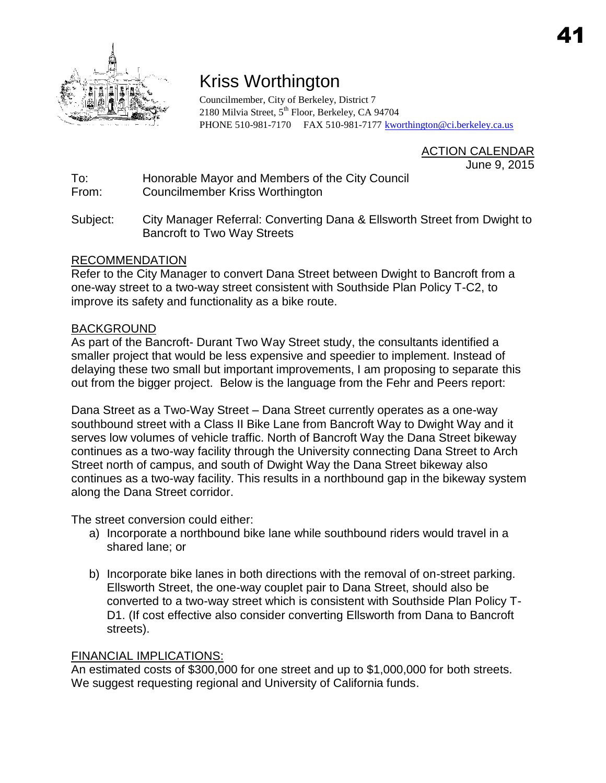

## Kriss Worthington

Councilmember, City of Berkeley, District 7 2180 Milvia Street, 5<sup>th</sup> Floor, Berkeley, CA 94704 PHONE 510-981-7170 FAX 510-981-7177 [kworthington@ci.berkeley.ca.us](mailto:kworthington@ci.berkeley.ca.us)

> ACTION CALENDAR June 9, 2015

To: Honorable Mayor and Members of the City Council From: Councilmember Kriss Worthington

Subject: City Manager Referral: Converting Dana & Ellsworth Street from Dwight to Bancroft to Two Way Streets

## RECOMMENDATION

Refer to the City Manager to convert Dana Street between Dwight to Bancroft from a one-way street to a two-way street consistent with Southside Plan Policy T-C2, to improve its safety and functionality as a bike route.

## BACKGROUND

As part of the Bancroft- Durant Two Way Street study, the consultants identified a smaller project that would be less expensive and speedier to implement. Instead of delaying these two small but important improvements, I am proposing to separate this out from the bigger project. Below is the language from the Fehr and Peers report:

Dana Street as a Two-Way Street – Dana Street currently operates as a one-way southbound street with a Class II Bike Lane from Bancroft Way to Dwight Way and it serves low volumes of vehicle traffic. North of Bancroft Way the Dana Street bikeway continues as a two-way facility through the University connecting Dana Street to Arch Street north of campus, and south of Dwight Way the Dana Street bikeway also continues as a two-way facility. This results in a northbound gap in the bikeway system along the Dana Street corridor.

The street conversion could either:

- a) Incorporate a northbound bike lane while southbound riders would travel in a shared lane; or
- b) Incorporate bike lanes in both directions with the removal of on-street parking. Ellsworth Street, the one-way couplet pair to Dana Street, should also be converted to a two-way street which is consistent with Southside Plan Policy T-D1. (If cost effective also consider converting Ellsworth from Dana to Bancroft streets).

## FINANCIAL IMPLICATIONS:

An estimated costs of \$300,000 for one street and up to \$1,000,000 for both streets. We suggest requesting regional and University of California funds.